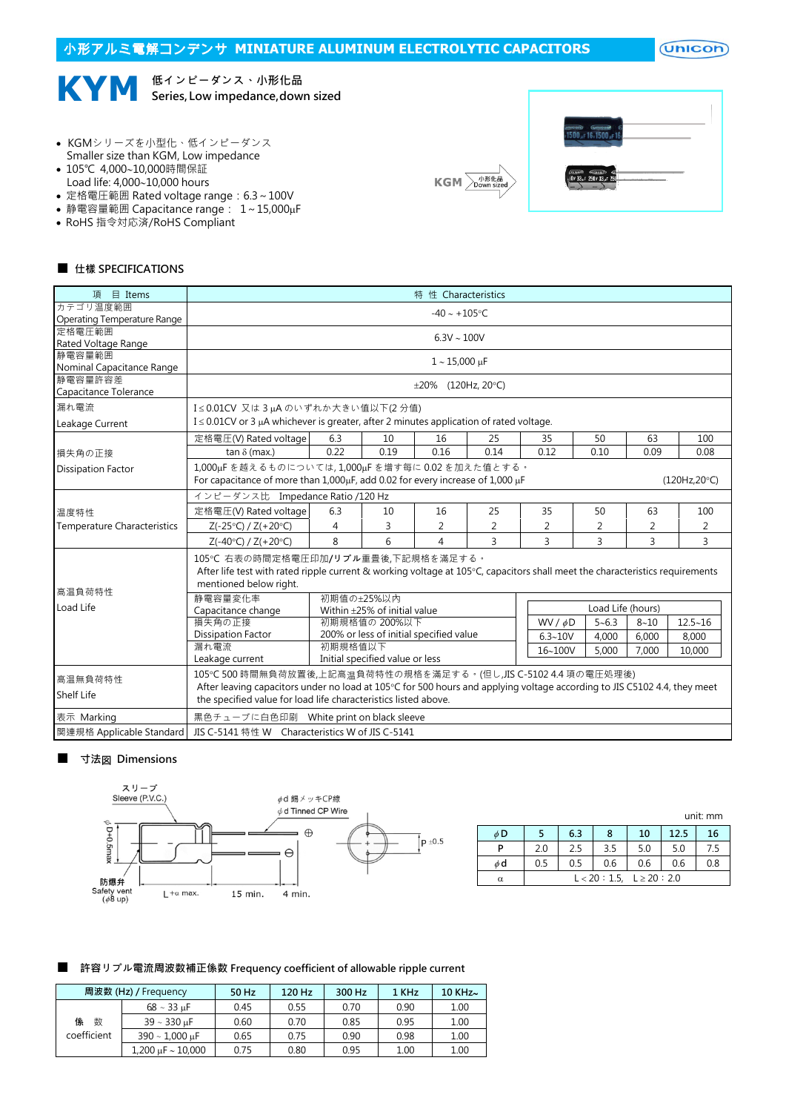# 小形アルミ電解コンデンサ **MINIATURE ALUMINUM ELECTROLYTIC CAPACITORS**  $($ Unicon $)$ 低インピーダンス、小形化品 **KYM** Series, Low impedance,down sized

- KGMシリーズを小型化、低インピーダンス
- Smaller size than KGM, Low impedance
- 105℃ 4,000~10,000時間保証 Load life:  $4.000 - 10.000$  hours
- 定格電圧範囲 Rated voltage range:6.3~100V
- 静電容量範囲 Capacitance range:  $1 \sim 15,000 \mu F$
- RoHS 指令対応済/RoHS Compliant





## ■ 仕樣 SPECIFICATIONS

| 項 目 Items                             | 特 性 Characteristics                                                                                                                                                                          |                                                                                                                                                                                                                                                               |                                                          |                          |      |               |                   |          |              |  |
|---------------------------------------|----------------------------------------------------------------------------------------------------------------------------------------------------------------------------------------------|---------------------------------------------------------------------------------------------------------------------------------------------------------------------------------------------------------------------------------------------------------------|----------------------------------------------------------|--------------------------|------|---------------|-------------------|----------|--------------|--|
| カテゴリ温度範囲                              | $-40 \sim +105$ °C                                                                                                                                                                           |                                                                                                                                                                                                                                                               |                                                          |                          |      |               |                   |          |              |  |
| Operating Temperature Range<br>定格雷圧範囲 |                                                                                                                                                                                              |                                                                                                                                                                                                                                                               |                                                          |                          |      |               |                   |          |              |  |
| Rated Voltage Range                   |                                                                                                                                                                                              | $6.3V \sim 100V$                                                                                                                                                                                                                                              |                                                          |                          |      |               |                   |          |              |  |
| 静電容量範囲                                |                                                                                                                                                                                              | $1 - 15,000 \,\mu F$                                                                                                                                                                                                                                          |                                                          |                          |      |               |                   |          |              |  |
| Nominal Capacitance Range             |                                                                                                                                                                                              |                                                                                                                                                                                                                                                               |                                                          |                          |      |               |                   |          |              |  |
| 静雷容量許容差<br>Capacitance Tolerance      |                                                                                                                                                                                              |                                                                                                                                                                                                                                                               |                                                          | $\pm 20\%$ (120Hz, 20°C) |      |               |                   |          |              |  |
| 漏れ電流                                  | I≤0.01CV 又は3µAのいずれか大きい値以下(2分値)                                                                                                                                                               |                                                                                                                                                                                                                                                               |                                                          |                          |      |               |                   |          |              |  |
| Leakage Current                       | $I \leq 0.01$ CV or 3 µA whichever is greater, after 2 minutes application of rated voltage.                                                                                                 |                                                                                                                                                                                                                                                               |                                                          |                          |      |               |                   |          |              |  |
|                                       | 定格電圧(V) Rated voltage                                                                                                                                                                        | 6.3                                                                                                                                                                                                                                                           | 10                                                       | 16                       | 25   | 35            | 50                | 63       | 100          |  |
| 損失角の正接                                | tan $\delta$ (max.)                                                                                                                                                                          | 0.22                                                                                                                                                                                                                                                          | 0.19                                                     | 0.16                     | 0.14 | 0.12          | 0.10              | 0.09     | 0.08         |  |
| <b>Dissipation Factor</b>             | 1,000uFを越えるものについては,1,000uFを増す每に0.02を加えた值とする。<br>For capacitance of more than $1,000\mu$ F, add 0.02 for every increase of $1,000\mu$ F                                                       |                                                                                                                                                                                                                                                               |                                                          |                          |      |               |                   |          | (120Hz,20°C) |  |
|                                       | インピーダンス比 Impedance Ratio /120 Hz                                                                                                                                                             |                                                                                                                                                                                                                                                               |                                                          |                          |      |               |                   |          |              |  |
| 温度特性                                  | 定格電圧(V) Rated voltage                                                                                                                                                                        | 6.3                                                                                                                                                                                                                                                           | 10                                                       | 16                       | 25   | 35            | 50                | 63       | 100          |  |
| <b>Temperature Characteristics</b>    | $Z(-25°C) / Z(+20°C)$                                                                                                                                                                        | 4                                                                                                                                                                                                                                                             | 3                                                        | 2                        | 2    | 2             | 2                 | 2        | 2            |  |
|                                       | $Z(-40°C) / Z(+20°C)$                                                                                                                                                                        | 8                                                                                                                                                                                                                                                             | 6                                                        | $\overline{4}$           | 3    | 3             | 3                 | 3        | 3            |  |
| 高温負荷特性                                | 105℃ 右表の時間定格電圧印加/リプル重畳後,下記規格を滿足する。<br>After life test with rated ripple current & working voltage at 105°C, capacitors shall meet the characteristics requirements<br>mentioned below right. |                                                                                                                                                                                                                                                               |                                                          |                          |      |               |                   |          |              |  |
| Load Life                             | 静電容量変化率                                                                                                                                                                                      | 初期值の±25%以内                                                                                                                                                                                                                                                    |                                                          |                          |      |               | Load Life (hours) |          |              |  |
|                                       | Capacitance change                                                                                                                                                                           |                                                                                                                                                                                                                                                               | Within ±25% of initial value                             |                          |      |               |                   |          |              |  |
|                                       | 損失角の正接<br>Dissipation Factor                                                                                                                                                                 |                                                                                                                                                                                                                                                               | 初期規格值の 200%以下<br>200% or less of initial specified value |                          |      | WV / $\phi$ D | $5 - 6.3$         | $8 - 10$ | $12.5 - 16$  |  |
|                                       | 漏れ電流                                                                                                                                                                                         | 初期規格值以下                                                                                                                                                                                                                                                       |                                                          |                          |      | $6.3 - 10V$   | 4,000             | 6,000    | 8,000        |  |
|                                       | Leakage current                                                                                                                                                                              |                                                                                                                                                                                                                                                               | Initial specified value or less                          |                          |      | 16~100V       | 5,000             | 7,000    | 10,000       |  |
| 高温無負荷特性<br><b>Shelf Life</b>          |                                                                                                                                                                                              | 105℃ 500 時間無負荷放置後,上記高温負荷特性の規格を滿足する。(但し,JIS C-5102 4.4 項の電圧処理後)<br>After leaving capacitors under no load at 105°C for 500 hours and applying voltage according to JIS C5102 4.4, they meet<br>the specified value for load life characteristics listed above. |                                                          |                          |      |               |                   |          |              |  |
| 表示 Marking                            | 黒色チューブに白色印刷 White print on black sleeve                                                                                                                                                      |                                                                                                                                                                                                                                                               |                                                          |                          |      |               |                   |          |              |  |
| 関連規格 Applicable Standard              | JIS C-5141 特性 W Characteristics W of JIS C-5141                                                                                                                                              |                                                                                                                                                                                                                                                               |                                                          |                          |      |               |                   |          |              |  |

### ■ 寸法図 Dimensions



|          | unit: mm |                                |     |     |      |     |  |  |
|----------|----------|--------------------------------|-----|-----|------|-----|--|--|
| φD       |          | 6.3                            | 8   | 10  | 12.5 | 16  |  |  |
| D        | 2.0      | 2.5                            | 3.5 | 5.0 | 5.0  | 7.5 |  |  |
| φd       | 0.5      | 0.5                            | 0.6 | 0.6 | 0.6  | 0.8 |  |  |
| $\alpha$ |          | $L < 20 : 1.5, L \ge 20 : 2.0$ |     |     |      |     |  |  |

# ■ 許容リプル電流周波数補正係数 Frequency coefficient of allowable ripple current

|             | 周波数 (Hz) / Frequency                    | 50 Hz | $120$ Hz | 300 Hz | 1 KHz | $10$ KHz $\sim$ |
|-------------|-----------------------------------------|-------|----------|--------|-------|-----------------|
|             | $68 \sim 33 \text{ uF}$                 | 0.45  | 0.55     | 0.70   | 0.90  | 1.00            |
| 係<br>数      | $39 \sim 330$ uF                        | 0.60  | 0.70     | 0.85   | 0.95  | 1.00            |
| coefficient | $390 \sim 1.000 \text{ uF}$             | 0.65  | 0.75     | 0.90   | 0.98  | 1.00            |
|             | $1,200 \text{ }\mu\text{F} \sim 10,000$ | 0.75  | 0.80     | 0.95   | 1.00  | 1.00            |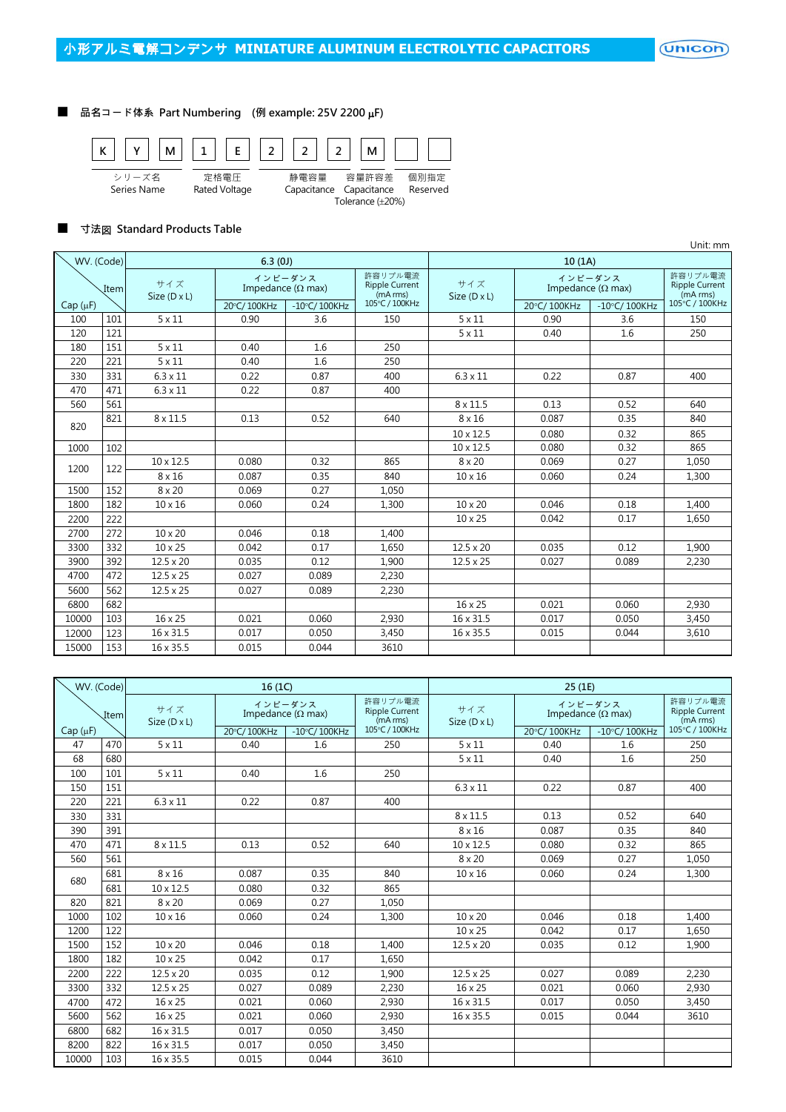(Unicon)

## ■ 品名コード体系 Part Numbering (例 example: 25V 2200 µF)



### ■ 寸法図 Standard Products Table

|              |                  |                            |                                      |                        |                                              |                     |                                      |                        | Unit: mm                                     |
|--------------|------------------|----------------------------|--------------------------------------|------------------------|----------------------------------------------|---------------------|--------------------------------------|------------------------|----------------------------------------------|
| WV. (Code)   | 6.3(0)<br>10(1A) |                            |                                      |                        |                                              |                     |                                      |                        |                                              |
| Item         |                  | サイズ<br>Size $(D \times L)$ | インピーダンス<br>Impedance ( $\Omega$ max) |                        | 許容リプル電流<br><b>Ripple Current</b><br>(mA rms) | サイズ<br>Size (D x L) | インピーダンス<br>Impedance ( $\Omega$ max) |                        | 許容リプル電流<br><b>Ripple Current</b><br>(mA rms) |
| $Cap(\mu F)$ |                  |                            | 20°C/100KHz                          | $-10^{\circ}$ C/100KHz | 105°C / 100KHz                               |                     | 20°C/100KHz                          | $-10^{\circ}$ C/100KHz | 105°C / 100KHz                               |
| 100          | 101              | $5 \times 11$              | 0.90                                 | 3.6                    | 150                                          | $5 \times 11$       | 0.90                                 | 3.6                    | 150                                          |
| 120          | 121              |                            |                                      |                        |                                              | $5 \times 11$       | 0.40                                 | 1.6                    | 250                                          |
| 180          | 151              | $5 \times 11$              | 0.40                                 | 1.6                    | 250                                          |                     |                                      |                        |                                              |
| 220          | 221              | $5 \times 11$              | 0.40                                 | 1.6                    | 250                                          |                     |                                      |                        |                                              |
| 330          | 331              | $6.3 \times 11$            | 0.22                                 | 0.87                   | 400                                          | $6.3 \times 11$     | 0.22                                 | 0.87                   | 400                                          |
| 470          | 471              | $6.3 \times 11$            | 0.22                                 | 0.87                   | 400                                          |                     |                                      |                        |                                              |
| 560          | 561              |                            |                                      |                        |                                              | $8 \times 11.5$     | 0.13                                 | 0.52                   | 640                                          |
|              | 821              | $8 \times 11.5$            | 0.13                                 | 0.52                   | 640                                          | $8 \times 16$       | 0.087                                | 0.35                   | 840                                          |
| 820          |                  |                            |                                      |                        |                                              | $10 \times 12.5$    | 0.080                                | 0.32                   | 865                                          |
| 1000         | 102              |                            |                                      |                        |                                              | $10 \times 12.5$    | 0.080                                | 0.32                   | 865                                          |
| 1200         | 122              | $10 \times 12.5$           | 0.080                                | 0.32                   | 865                                          | $8 \times 20$       | 0.069                                | 0.27                   | 1,050                                        |
|              |                  | $8 \times 16$              | 0.087                                | 0.35                   | 840                                          | $10 \times 16$      | 0.060                                | 0.24                   | 1,300                                        |
| 1500         | 152              | $8 \times 20$              | 0.069                                | 0.27                   | 1,050                                        |                     |                                      |                        |                                              |
| 1800         | 182              | $10 \times 16$             | 0.060                                | 0.24                   | 1,300                                        | $10 \times 20$      | 0.046                                | 0.18                   | 1,400                                        |
| 2200         | 222              |                            |                                      |                        |                                              | $10 \times 25$      | 0.042                                | 0.17                   | 1.650                                        |
| 2700         | 272              | $10 \times 20$             | 0.046                                | 0.18                   | 1,400                                        |                     |                                      |                        |                                              |
| 3300         | 332              | $10 \times 25$             | 0.042                                | 0.17                   | 1,650                                        | $12.5 \times 20$    | 0.035                                | 0.12                   | 1.900                                        |
| 3900         | 392              | $12.5 \times 20$           | 0.035                                | 0.12                   | 1,900                                        | $12.5 \times 25$    | 0.027                                | 0.089                  | 2,230                                        |
| 4700         | 472              | $12.5 \times 25$           | 0.027                                | 0.089                  | 2,230                                        |                     |                                      |                        |                                              |
| 5600         | 562              | $12.5 \times 25$           | 0.027                                | 0.089                  | 2,230                                        |                     |                                      |                        |                                              |
| 6800         | 682              |                            |                                      |                        |                                              | 16 x 25             | 0.021                                | 0.060                  | 2,930                                        |
| 10000        | 103              | 16 x 25                    | 0.021                                | 0.060                  | 2.930                                        | $16 \times 31.5$    | 0.017                                | 0.050                  | 3,450                                        |
| 12000        | 123              | 16 x 31.5                  | 0.017                                | 0.050                  | 3,450                                        | 16 x 35.5           | 0.015                                | 0.044                  | 3,610                                        |
| 15000        | 153              | 16 x 35.5                  | 0.015                                | 0.044                  | 3610                                         |                     |                                      |                        |                                              |

| WV. (Code)   |     | 16(1C)<br>25(1E)           |                                      |                        |                                              |                            |                                      |                                              |                |
|--------------|-----|----------------------------|--------------------------------------|------------------------|----------------------------------------------|----------------------------|--------------------------------------|----------------------------------------------|----------------|
| Item         |     | サイズ<br>Size $(D \times L)$ | インピーダンス<br>Impedance ( $\Omega$ max) |                        | 許容リプル電流<br><b>Ripple Current</b><br>(mA rms) | サイズ<br>Size $(D \times L)$ | インピーダンス<br>Impedance ( $\Omega$ max) | 許容リプル電流<br><b>Ripple Current</b><br>(mA rms) |                |
| $Cap(\mu F)$ |     |                            | 20°C/100KHz                          | $-10^{\circ}$ C/100KHz | 105°C / 100KHz                               |                            | 20°C/100KHz                          | $-10^{\circ}$ C/100KHz                       | 105°C / 100KHz |
| 47           | 470 | $5 \times 11$              | 0.40                                 | 1.6                    | 250                                          | $5 \times 11$              | 0.40                                 | 1.6                                          | 250            |
| 68           | 680 |                            |                                      |                        |                                              | $5 \times 11$              | 0.40                                 | 1.6                                          | 250            |
| 100          | 101 | $5 \times 11$              | 0.40                                 | 1.6                    | 250                                          |                            |                                      |                                              |                |
| 150          | 151 |                            |                                      |                        |                                              | $6.3 \times 11$            | 0.22                                 | 0.87                                         | 400            |
| 220          | 221 | $6.3 \times 11$            | 0.22                                 | 0.87                   | 400                                          |                            |                                      |                                              |                |
| 330          | 331 |                            |                                      |                        |                                              | $8 \times 11.5$            | 0.13                                 | 0.52                                         | 640            |
| 390          | 391 |                            |                                      |                        |                                              | $8 \times 16$              | 0.087                                | 0.35                                         | 840            |
| 470          | 471 | $8 \times 11.5$            | 0.13                                 | 0.52                   | 640                                          | 10 x 12.5                  | 0.080                                | 0.32                                         | 865            |
| 560          | 561 |                            |                                      |                        |                                              | $8 \times 20$              | 0.069                                | 0.27                                         | 1,050          |
|              | 681 | $8 \times 16$              | 0.087                                | 0.35                   | 840                                          | $10 \times 16$             | 0.060                                | 0.24                                         | 1,300          |
| 680          | 681 | $10 \times 12.5$           | 0.080                                | 0.32                   | 865                                          |                            |                                      |                                              |                |
| 820          | 821 | 8 x 20                     | 0.069                                | 0.27                   | 1,050                                        |                            |                                      |                                              |                |
| 1000         | 102 | $10 \times 16$             | 0.060                                | 0.24                   | 1,300                                        | $10 \times 20$             | 0.046                                | 0.18                                         | 1.400          |
| 1200         | 122 |                            |                                      |                        |                                              | $10 \times 25$             | 0.042                                | 0.17                                         | 1,650          |
| 1500         | 152 | $10 \times 20$             | 0.046                                | 0.18                   | 1,400                                        | $12.5 \times 20$           | 0.035                                | 0.12                                         | 1,900          |
| 1800         | 182 | $10 \times 25$             | 0.042                                | 0.17                   | 1,650                                        |                            |                                      |                                              |                |
| 2200         | 222 | $12.5 \times 20$           | 0.035                                | 0.12                   | 1,900                                        | $12.5 \times 25$           | 0.027                                | 0.089                                        | 2,230          |
| 3300         | 332 | $12.5 \times 25$           | 0.027                                | 0.089                  | 2,230                                        | 16 x 25                    | 0.021                                | 0.060                                        | 2,930          |
| 4700         | 472 | 16 x 25                    | 0.021                                | 0.060                  | 2,930                                        | 16 x 31.5                  | 0.017                                | 0.050                                        | 3,450          |
| 5600         | 562 | 16 x 25                    | 0.021                                | 0.060                  | 2,930                                        | 16 x 35.5                  | 0.015                                | 0.044                                        | 3610           |
| 6800         | 682 | 16 x 31.5                  | 0.017                                | 0.050                  | 3,450                                        |                            |                                      |                                              |                |
| 8200         | 822 | 16 x 31.5                  | 0.017                                | 0.050                  | 3,450                                        |                            |                                      |                                              |                |
| 10000        | 103 | 16 x 35.5                  | 0.015                                | 0.044                  | 3610                                         |                            |                                      |                                              |                |